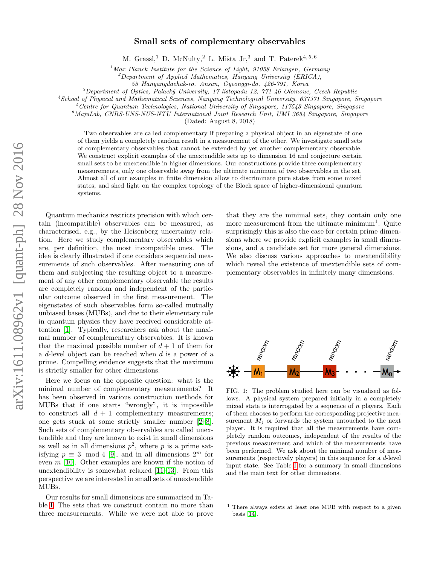# Small sets of complementary observables

M. Grassl,<sup>1</sup> D. McNulty,<sup>2</sup> L. Mišta Jr,<sup>3</sup> and T. Paterek<sup>4, 5, 6</sup>

<sup>1</sup>Max Planck Institute for the Science of Light, 91058 Erlangen, Germany

 ${}^{2}$ Department of Applied Mathematics, Hanyang University (ERICA),

55 Hanyangdaehak-ro, Ansan, Gyeonggi-do, 426-791, Korea

 $3$ Department of Optics, Palacký University, 17 listopadu 12, 771 46 Olomouc, Czech Republic

<sup>4</sup>School of Physical and Mathematical Sciences, Nanyang Technological University, 637371 Singapore, Singapore

 $5$ Centre for Quantum Technologies, National University of Singapore, 117543 Singapore, Singapore

 $6$ MajuLab, CNRS-UNS-NUS-NTU International Joint Research Unit, UMI 3654 Singapore, Singapore

(Dated: August 8, 2018)

Two observables are called complementary if preparing a physical object in an eigenstate of one of them yields a completely random result in a measurement of the other. We investigate small sets of complementary observables that cannot be extended by yet another complementary observable. We construct explicit examples of the unextendible sets up to dimension 16 and conjecture certain small sets to be unextendible in higher dimensions. Our constructions provide three complementary measurements, only one observable away from the ultimate minimum of two observables in the set. Almost all of our examples in finite dimension allow to discriminate pure states from some mixed states, and shed light on the complex topology of the Bloch space of higher-dimensional quantum systems.

Quantum mechanics restricts precision with which certain (incompatible) observables can be measured, as characterised, e.g., by the Heisenberg uncertainty relation. Here we study complementary observables which are, per definition, the most incompatible ones. The idea is clearly illustrated if one considers sequential measurements of such observables. After measuring one of them and subjecting the resulting object to a measurement of any other complementary observable the results are completely random and independent of the particular outcome observed in the first measurement. The eigenstates of such observables form so-called mutually unbiased bases (MUBs), and due to their elementary role in quantum physics they have received considerable attention [\[1\]](#page-6-0). Typically, researchers ask about the maximal number of complementary observables. It is known that the maximal possible number of  $d+1$  of them for a d-level object can be reached when d is a power of a prime. Compelling evidence suggests that the maximum is strictly smaller for other dimensions.

Here we focus on the opposite question: what is the minimal number of complementary measurements? It has been observed in various construction methods for MUBs that if one starts "wrongly", it is impossible to construct all  $d + 1$  complementary measurements; one gets stuck at some strictly smaller number [\[2–](#page-6-1)[8\]](#page-6-2). Such sets of complementary observables are called unextendible and they are known to exist in small dimensions as well as in all dimensions  $p^2$ , where p is a prime satisfying  $p \equiv 3 \mod 4$  [\[9\]](#page-6-3), and in all dimensions  $2^m$  for even  $m$  [\[10\]](#page-6-4). Other examples are known if the notion of unextendibility is somewhat relaxed [\[11](#page-6-5)[–13\]](#page-6-6). From this perspective we are interested in small sets of unextendible MUBs.

Our results for small dimensions are summarised in Table [I.](#page-1-0) The sets that we construct contain no more than three measurements. While we were not able to prove

that they are the minimal sets, they contain only one more measurement from the ultimate minimum<sup>1</sup>. Quite surprisingly this is also the case for certain prime dimensions where we provide explicit examples in small dimensions, and a candidate set for more general dimensions. We also discuss various approaches to unextendibility which reveal the existence of unextendible sets of complementary observables in infinitely many dimensions.



<span id="page-0-0"></span>FIG. 1: The problem studied here can be visualised as follows. A physical system prepared initially in a completely mixed state is interrogated by a sequence of  $n$  players. Each of them chooses to perform the corresponding projective measurement  $M_i$  or forwards the system untouched to the next player. It is required that all the measurements have completely random outcomes, independent of the results of the previous measurement and which of the measurements have been performed. We ask about the minimal number of measurements (respectively players) in this sequence for a d-level input state. See Table [I](#page-1-0) for a summary in small dimensions and the main text for other dimensions.

<sup>1</sup> There always exists at least one MUB with respect to a given basis [\[14\]](#page-6-7).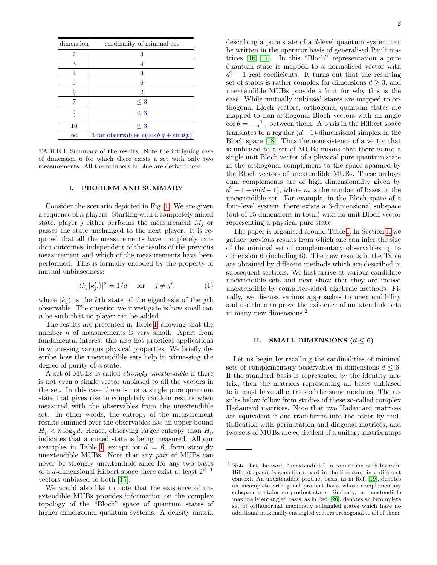| dimension      | cardinality of minimal set                                     |
|----------------|----------------------------------------------------------------|
| $\overline{2}$ | 3                                                              |
| 3              |                                                                |
| 4              | 3                                                              |
| 5              | 6                                                              |
| 6              | 2                                                              |
|                | $\leq 3$                                                       |
|                | $\leq 3$                                                       |
| 16             | $\leq 3$                                                       |
| $\infty$       | 3 for observables $r(\cos\theta \hat{q} + \sin\theta \hat{p})$ |

<span id="page-1-0"></span>TABLE I: Summary of the results. Note the intriguing case of dimension 6 for which there exists a set with only two measurements. All the numbers in blue are derived here.

# I. PROBLEM AND SUMMARY

Consider the scenario depicted in Fig. [1.](#page-0-0) We are given a sequence of n players. Starting with a completely mixed state, player j either performs the measurement  $M_i$  or passes the state unchanged to the next player. It is required that all the measurements have completely random outcomes, independent of the results of the previous measurement and which of the measurements have been performed. This is formally encoded by the property of mutual unbiasedness:

$$
|\langle k_j | k'_{j'} \rangle|^2 = 1/d \quad \text{for} \quad j \neq j', \tag{1}
$$

where  $|k_i\rangle$  is the k<sup>th</sup> state of the eigenbasis of the j<sup>th</sup> observable. The question we investigate is how small can n be such that no player can be added.

The results are presented in Table [I,](#page-1-0) showing that the number  $n$  of measurements is very small. Apart from fundamental interest this also has practical applications in witnessing various physical properties. We briefly describe how the unextendible sets help in witnessing the degree of purity of a state.

A set of MUBs is called strongly unextendible if there is not even a single vector unbiased to all the vectors in the set. In this case there is not a single pure quantum state that gives rise to completely random results when measured with the observables from the unextendible set. In other words, the entropy of the measurement results summed over the observables has an upper bound  $H_{\rm p} < n \log_2 d$ . Hence, observing larger entropy than  $H_{\rm p}$ indicates that a mixed state is being measured. All our examples in Table [I,](#page-1-0) except for  $d = 6$ , form strongly unextendible MUBs. Note that any pair of MUBs can never be strongly unextendible since for any two bases of a d-dimensional Hilbert space there exist at least  $2^{d-1}$ vectors unbiased to both [\[15\]](#page-6-8).

We would also like to note that the existence of unextendible MUBs provides information on the complex topology of the "Bloch" space of quantum states of higher-dimensional quantum systems. A density matrix

describing a pure state of a d-level quantum system can be written in the operator basis of generalised Pauli matrices [\[16,](#page-6-9) [17\]](#page-6-10). In this "Bloch" representation a pure quantum state is mapped to a normalised vector with  $d^2-1$  real coefficients. It turns out that the resulting set of states is rather complex for dimensions  $d \geq 3$ , and unextendible MUBs provide a hint for why this is the case. While mutually unbiased states are mapped to orthogonal Bloch vectors, orthogonal quantum states are mapped to non-orthogonal Bloch vectors with an angle  $\cos \theta = -\frac{1}{d-1}$  between them. A basis in the Hilbert space translates to a regular  $(d-1)$ -dimensional simplex in the Bloch space [\[18\]](#page-6-11). Thus the nonexistence of a vector that is unbiased to a set of MUBs means that there is not a single unit Bloch vector of a physical pure quantum state in the orthogonal complement to the space spanned by the Bloch vectors of unextendible MUBs. These orthogonal complements are of high dimensionality given by  $d^2-1-m(d-1)$ , where m is the number of bases in the unextendible set. For example, in the Bloch space of a four-level system, there exists a 6-dimensional subspace (out of 15 dimensions in total) with no unit Bloch vector representing a physical pure state.

The paper is organised around Table [I.](#page-1-0) In Section [II](#page-1-1) we gather previous results from which one can infer the size of the minimal set of complementary observables up to dimension 6 (including 6). The new results in the Table are obtained by different methods which are described in subsequent sections. We first arrive at various candidate unextendible sets and next show that they are indeed unextendible by computer-aided algebraic methods. Finally, we discuss various approaches to unextendibility and use them to prove the existence of unextendible sets in many new dimensions.<sup>2</sup>

## <span id="page-1-1"></span>II. SMALL DIMENSIONS  $(d \leq 6)$

Let us begin by recalling the cardinalities of minimal sets of complementary observables in dimensions  $d \leq 6$ . If the standard basis is represented by the identity matrix, then the matrices representing all bases unbiased to it must have all entries of the same modulus. The results below follow from studies of these so-called complex Hadamard matrices. Note that two Hadamard matrices are equivalent if one transforms into the other by multiplication with permutation and diagonal matrices, and two sets of MUBs are equivalent if a unitary matrix maps

<sup>2</sup> Note that the word "unextendible" in connection with bases in Hilbert spaces is sometimes used in the literature in a different context. An unextendible product basis, as in Ref. [\[19\]](#page-6-12), denotes an incomplete orthogonal product basis whose complementary subspace contains no product state. Similarly, an unextendible maximally entangled basis, as in Ref. [\[20\]](#page-6-13), denotes an incomplete set of orthonormal maximally entangled states which have no additional maximally entangled vectors orthogonal to all of them.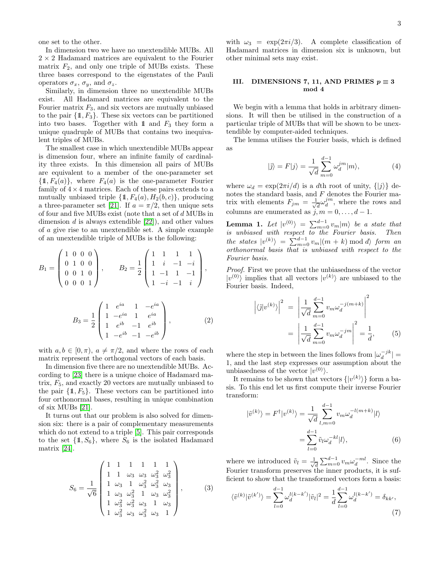3

one set to the other.

In dimension two we have no unextendible MUBs. All  $2 \times 2$  Hadamard matrices are equivalent to the Fourier matrix  $F_2$ , and only one triple of MUBs exists. These three bases correspond to the eigenstates of the Pauli operators  $\sigma_x$ ,  $\sigma_y$ , and  $\sigma_z$ .

Similarly, in dimension three no unextendible MUBs exist. All Hadamard matrices are equivalent to the Fourier matrix  $F_3$ , and six vectors are mutually unbiased to the pair  $\{1, F_3\}$ . These six vectors can be partitioned into two bases. Together with 1 and  $F_3$  they form a unique quadruple of MUBs that contains two inequivalent triples of MUBs.

The smallest case in which unextendible MUBs appear is dimension four, where an infinite family of cardinality three exists. In this dimension all pairs of MUBs are equivalent to a member of the one-parameter set  $\{1, F_4(a)\}\$ , where  $F_4(a)$  is the one-parameter Fourier family of  $4 \times 4$  matrices. Each of these pairs extends to a mutually unbiased triple  $\{\mathbb{1}, F_4(a), H_2(b, c)\}\$ , producing a three-parameter set [\[21\]](#page-6-14). If  $a = \pi/2$ , then unique sets of four and five MUBs exist (note that a set of d MUBs in dimension  $d$  is always extendible  $[22]$ , and other values of a give rise to an unextendible set. A simple example of an unextendible triple of MUBs is the following:

$$
B_1 = \begin{pmatrix} 1 & 0 & 0 & 0 \\ 0 & 1 & 0 & 0 \\ 0 & 0 & 1 & 0 \\ 0 & 0 & 0 & 1 \end{pmatrix}, \qquad B_2 = \frac{1}{2} \begin{pmatrix} 1 & 1 & 1 & 1 \\ 1 & i & -1 & -i \\ 1 & -1 & 1 & -1 \\ 1 & -i & -1 & i \end{pmatrix},
$$

$$
B_3 = \frac{1}{2} \begin{pmatrix} 1 & e^{ia} & 1 & -e^{ia} \\ 1 & -e^{ia} & 1 & e^{ia} \\ 1 & e^{ib} & -1 & e^{ib} \\ 1 & -e^{ib} & -1 & -e^{ib} \end{pmatrix},
$$
 (2)

with  $a, b \in [0, \pi)$ ,  $a \neq \pi/2$ , and where the rows of each matrix represent the orthogonal vectors of each basis.

In dimension five there are no unextendible MUBs. According to [\[23\]](#page-6-16) there is a unique choice of Hadamard matrix,  $F_5$ , and exactly 20 vectors are mutually unbiased to the pair  $\{1, F_5\}$ . These vectors can be partitioned into four orthonormal bases, resulting in unique combination of six MUBs [\[21\]](#page-6-14).

It turns out that our problem is also solved for dimension six: there is a pair of complementary measurements which do not extend to a triple [\[5\]](#page-6-17). This pair corresponds to the set  $\{1, S_6\}$ , where  $S_6$  is the isolated Hadamard matrix [\[24\]](#page-6-18).

$$
S_6 = \frac{1}{\sqrt{6}} \begin{pmatrix} 1 & 1 & 1 & 1 & 1 \\ 1 & 1 & \omega_3 & \omega_3 & \omega_3^2 & \omega_3^2 \\ 1 & \omega_3 & 1 & \omega_3^2 & \omega_3^2 & \omega_3 \\ 1 & \omega_3 & \omega_3^2 & 1 & \omega_3 & \omega_3^2 \\ 1 & \omega_3^2 & \omega_3^2 & \omega_3 & 1 & \omega_3 \\ 1 & \omega_3^2 & \omega_3 & \omega_3^2 & \omega_3 & 1 \end{pmatrix},
$$
(3)

with  $\omega_3 = \exp(2\pi i/3)$ . A complete classification of Hadamard matrices in dimension six is unknown, but other minimal sets may exist.

# III. DIMENSIONS 7, 11, AND PRIMES  $p \equiv 3$ mod 4

We begin with a lemma that holds in arbitrary dimensions. It will then be utilised in the construction of a particular triple of MUBs that will be shown to be unextendible by computer-aided techniques.

The lemma utilises the Fourier basis, which is defined as

$$
|\tilde{j}\rangle = F|j\rangle = \frac{1}{\sqrt{d}} \sum_{m=0}^{d-1} \omega_d^{jm} |m\rangle,
$$
 (4)

where  $\omega_d = \exp(2\pi i/d)$  is a dth root of unity,  $\{|j\rangle\}$  denotes the standard basis, and  $F$  denotes the Fourier matrix with elements  $F_{jm} = \frac{1}{\sqrt{2}}$  $\frac{1}{d}\omega_d^{jm}$ , where the rows and columns are enumerated as  $\ddot{j}, m = 0, \ldots, d - 1$ .

<span id="page-2-1"></span>**Lemma 1.** Let  $|v^{(0)}\rangle = \sum_{m=0}^{d-1} v_m |m\rangle$  be a state that is unbiased with respect to the Fourier basis. Then the states  $|v^{(k)}\rangle = \sum_{m=0}^{d-1} v_m |(m+k) \bmod d\rangle$  form an orthonormal basis that is unbiased with respect to the Fourier basis.

Proof. First we prove that the unbiasedness of the vector  $|v^{(0)}\rangle$  implies that all vectors  $|v^{(k)}\rangle$  are unbiased to the Fourier basis. Indeed,

<span id="page-2-0"></span>
$$
\left| \langle \tilde{\jmath} | v^{(k)} \rangle \right|^2 = \left| \frac{1}{\sqrt{d}} \sum_{m=0}^{d-1} v_m \omega_d^{-j(m+k)} \right|^2
$$

$$
= \left| \frac{1}{\sqrt{d}} \sum_{m=0}^{d-1} v_m \omega_d^{-jm} \right|^2 = \frac{1}{d}, \qquad (5)
$$

where the step in between the lines follows from  $|\omega_d^{-jk}| =$ 1, and the last step expresses our assumption about the unbiasedness of the vector  $|v^{(0)}\rangle$ .

It remains to be shown that vectors  $\{|v^{(k)}\rangle\}$  form a basis. To this end let us first compute their inverse Fourier transform:

$$
|\tilde{v}^{(k)}\rangle = F^{\dagger} |v^{(k)}\rangle = \frac{1}{\sqrt{d}} \sum_{l,m=0}^{d-1} v_m \omega_d^{-l(m+k)} |l\rangle
$$

$$
= \sum_{l=0}^{d-1} \tilde{v}_l \omega_d^{-kl} |l\rangle,
$$
(6)

where we introduced  $\tilde{v}_l = \frac{1}{\sqrt{l}}$  $\frac{1}{d} \sum_{m=0}^{d-1} v_m \omega_d^{-ml}$ . Since the Fourier transform preserves the inner products, it is sufficient to show that the transformed vectors form a basis:

$$
\langle \tilde{v}^{(k)} | \tilde{v}^{(k')} \rangle = \sum_{l=0}^{d-1} \omega_d^{l(k-k')} |\tilde{v}_l|^2 = \frac{1}{d} \sum_{l=0}^{d-1} \omega_d^{l(k-k')} = \delta_{kk'}, \tag{7}
$$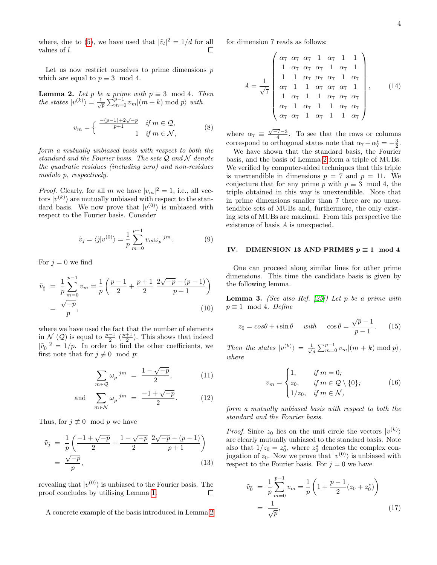where, due to [\(5\)](#page-2-0), we have used that  $|\tilde{v}_l|^2 = 1/d$  for all values of l. П

Let us now restrict ourselves to prime dimensions  $p$ which are equal to  $p \equiv 3 \mod 4$ .

<span id="page-3-0"></span>**Lemma 2.** Let p be a prime with  $p \equiv 3 \mod 4$ . Then the states  $|v^{(k)}\rangle = \frac{1}{\sqrt{p}}\sum_{m=0}^{p-1} v_m |(m+k) \bmod p\rangle$  with

$$
v_m = \begin{cases} \frac{-(p-1)+2\sqrt{-p}}{p+1} & \text{if } m \in \mathcal{Q}, \\ 1 & \text{if } m \in \mathcal{N}, \end{cases}
$$
 (8)

form a mutually unbiased basis with respect to both the standard and the Fourier basis. The sets  $\mathcal{Q}$  and  $\mathcal{N}$  denote the quadratic residues (including zero) and non-residues modulo p, respectively.

*Proof.* Clearly, for all m we have  $|v_m|^2 = 1$ , i.e., all vectors  $|v^{(k)}\rangle$  are mutually unbiased with respect to the standard basis. We now prove that  $|v^{(0)}\rangle$  is unbiased with respect to the Fourier basis. Consider

$$
\tilde{v}_{\tilde{j}} = \langle \tilde{j} | v^{(0)} \rangle = \frac{1}{p} \sum_{m=0}^{p-1} v_m \omega_p^{-jm}.
$$
 (9)

For  $j = 0$  we find

$$
\tilde{v}_{\tilde{0}} = \frac{1}{p} \sum_{m=0}^{p-1} v_m = \frac{1}{p} \left( \frac{p-1}{2} + \frac{p+1}{2} \frac{2\sqrt{-p} - (p-1)}{p+1} \right)
$$

$$
= \frac{\sqrt{-p}}{p}, \tag{10}
$$

where we have used the fact that the number of elements in  $\mathcal{N}(\mathcal{Q})$  is equal to  $\frac{p-1}{2}(\frac{p+1}{2})$ . This shows that indeed  $|\tilde{v}_0|^2 = 1/p$ . In order to find the other coefficients, we first note that for  $j \not\equiv 0 \mod p$ :

$$
\sum_{m \in \mathcal{Q}} \omega_p^{-jm} = \frac{1 - \sqrt{-p}}{2},\tag{11}
$$

and 
$$
\sum_{m \in \mathcal{N}} \omega_p^{-jm} = \frac{-1 + \sqrt{-p}}{2}.
$$
 (12)

Thus, for  $j \not\equiv 0 \mod p$  we have

$$
\tilde{v}_{\tilde{j}} = \frac{1}{p} \left( \frac{-1 + \sqrt{-p}}{2} + \frac{1 - \sqrt{-p}}{2} \frac{2\sqrt{-p} - (p-1)}{p+1} \right) \n= \frac{\sqrt{-p}}{p},
$$
\n(13)

revealing that  $|v^{(0)}\rangle$  is unbiased to the Fourier basis. The proof concludes by utilising Lemma [1.](#page-2-1)  $\Box$ 

A concrete example of the basis introduced in Lemma [2](#page-3-0)

for dimension 7 reads as follows:

$$
A = \frac{1}{\sqrt{7}} \begin{pmatrix} \alpha_7 & \alpha_7 & \alpha_7 & 1 & \alpha_7 & 1 & 1 \\ 1 & \alpha_7 & \alpha_7 & \alpha_7 & 1 & \alpha_7 & 1 \\ 1 & 1 & \alpha_7 & \alpha_7 & \alpha_7 & 1 & \alpha_7 \\ \alpha_7 & 1 & 1 & \alpha_7 & \alpha_7 & \alpha_7 & 1 \\ 1 & \alpha_7 & 1 & 1 & \alpha_7 & \alpha_7 & \alpha_7 \\ \alpha_7 & 1 & \alpha_7 & 1 & 1 & \alpha_7 & \alpha_7 \\ \alpha_7 & \alpha_7 & 1 & \alpha_7 & 1 & 1 & \alpha_7 \end{pmatrix}, \qquad (14)
$$

where  $\alpha_7 \equiv \frac{\sqrt{-7}-3}{4}$ . To see that the rows or columns correspond to orthogonal states note that  $\alpha_7 + \alpha_7^* = -\frac{3}{2}$ .

We have shown that the standard basis, the Fourier basis, and the basis of Lemma [2](#page-3-0) form a triple of MUBs. We verified by computer-aided techniques that this triple is unextendible in dimensions  $p = 7$  and  $p = 11$ . We conjecture that for any prime p with  $p \equiv 3 \mod 4$ , the triple obtained in this way is unextendible. Note that in prime dimensions smaller than 7 there are no unextendible sets of MUBs and, furthermore, the only existing sets of MUBs are maximal. From this perspective the existence of basis A is unexpected.

#### IV. DIMENSION 13 AND PRIMES  $p \equiv 1 \mod 4$

One can proceed along similar lines for other prime dimensions. This time the candidate basis is given by the following lemma.

**Lemma 3.** (See also Ref. [\[25\]](#page-6-19)) Let p be a prime with  $p \equiv 1 \mod 4$ . Define

$$
z_0 = \cos\theta + i\sin\theta \quad \text{with} \quad \cos\theta = \frac{\sqrt{p}-1}{p-1}.\tag{15}
$$

Then the states  $|v^{(k)}\rangle = \frac{1}{\sqrt{k}}$  $\frac{1}{\overline{d}}\sum_{m=0}^{p-1} v_m|(m+k) \bmod p$ where

$$
v_m = \begin{cases} 1, & \text{if } m = 0; \\ z_0, & \text{if } m \in \mathcal{Q} \setminus \{0\}; \\ 1/z_0, & \text{if } m \in \mathcal{N}, \end{cases}
$$
 (16)

form a mutually unbiased basis with respect to both the standard and the Fourier basis.

*Proof.* Since  $z_0$  lies on the unit circle the vectors  $|v^{(k)}\rangle$ are clearly mutually unbiased to the standard basis. Note also that  $1/z_0 = z_0^*$ , where  $z_0^*$  denotes the complex conjugation of  $z_0$ . Now we prove that  $|v^{(0)}\rangle$  is unbiased with respect to the Fourier basis. For  $j = 0$  we have

$$
\tilde{v}_{\tilde{0}} = \frac{1}{p} \sum_{m=0}^{p-1} v_m = \frac{1}{p} \left( 1 + \frac{p-1}{2} (z_0 + z_0^*) \right)
$$

$$
= \frac{1}{\sqrt{p}}, \tag{17}
$$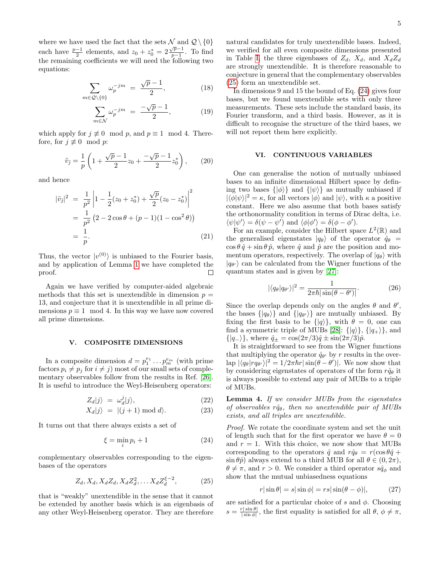where we have used the fact that the sets  $\mathcal N$  and  $\mathcal Q \setminus \{0\}$ each have  $\frac{p-1}{2}$  elements, and  $z_0 + z_0^* = 2 \frac{\sqrt{p-1}}{p-1}$  $\frac{p-1}{p-1}$ . To find the remaining coefficients we will need the following two equations:

$$
\sum_{m \in \mathcal{Q}\backslash\{0\}} \omega_p^{-jm} = \frac{\sqrt{p}-1}{2},\tag{18}
$$

$$
\sum_{m \in \mathcal{N}} \omega_p^{-jm} = \frac{-\sqrt{p}-1}{2}, \quad (19)
$$

which apply for  $j \not\equiv 0 \mod p$ , and  $p \equiv 1 \mod 4$ . Therefore, for  $j \not\equiv 0 \mod p$ :

$$
\tilde{v}_{\tilde{j}} = \frac{1}{p} \left( 1 + \frac{\sqrt{p} - 1}{2} z_0 + \frac{-\sqrt{p} - 1}{2} z_0^* \right), \qquad (20)
$$

and hence

$$
|\tilde{v}_{\tilde{j}}|^2 = \frac{1}{p^2} \left| 1 - \frac{1}{2} (z_0 + z_0^*) + \frac{\sqrt{p}}{2} (z_0 - z_0^*) \right|^2
$$
  
= 
$$
\frac{1}{p^2} (2 - 2 \cos \theta + (p - 1)(1 - \cos^2 \theta))
$$
  
= 
$$
\frac{1}{p}.
$$
 (21)

Thus, the vector  $|v^{(0)}\rangle$  is unbiased to the Fourier basis, and by application of Lemma [1](#page-2-1) we have completed the  $\Box$ proof.

Again we have verified by computer-aided algebraic methods that this set is unextendible in dimension  $p =$ 13, and conjecture that it is unextendible in all prime dimensions  $p \equiv 1 \mod 4$ . In this way we have now covered all prime dimensions.

### V. COMPOSITE DIMENSIONS

In a composite dimension  $d = p_1^{e_1} \dots p_m^{e_m}$  (with prime factors  $p_i \neq p_j$  for  $i \neq j$ ) most of our small sets of complementary observables follow from the results in Ref. [\[26\]](#page-6-20). It is useful to introduce the Weyl-Heisenberg operators:

$$
Z_d|j\rangle = \omega_d^j|j\rangle,\tag{22}
$$

$$
X_d|j\rangle = |(j+1) \bmod d\rangle. \tag{23}
$$

It turns out that there always exists a set of

<span id="page-4-1"></span>
$$
\xi = \min_{i} p_i + 1 \tag{24}
$$

complementary observables corresponding to the eigenbases of the operators

<span id="page-4-0"></span>
$$
Z_d, X_d, X_d Z_d, X_d Z_d^2, \dots X_d Z_d^{\xi - 2}, \tag{25}
$$

that is "weakly" unextendible in the sense that it cannot be extended by another basis which is an eigenbasis of any other Weyl-Heisenberg operator. They are therefore natural candidates for truly unextendible bases. Indeed, we verified for all even composite dimensions presented in Table [I,](#page-1-0) the three eigenbases of  $Z_d$ ,  $X_d$ , and  $X_dZ_d$ are strongly unextendible. It is therefore reasonable to conjecture in general that the complementary observables [\(25\)](#page-4-0) form an unextendible set.

In dimensions 9 and 15 the bound of Eq. [\(24\)](#page-4-1) gives four bases, but we found unextendible sets with only three measurements. These sets include the standard basis, its Fourier transform, and a third basis. However, as it is difficult to recognise the structure of the third bases, we will not report them here explicitly.

# VI. CONTINUOUS VARIABLES

One can generalise the notion of mutually unbiased bases to an infinite dimensional Hilbert space by defining two bases  $\{|\phi\rangle\}$  and  $\{|\psi\rangle\}$  as mutually unbiased if  $|\langle \phi | \psi \rangle|^2 = \kappa$ , for all vectors  $|\phi\rangle$  and  $|\psi\rangle$ , with  $\kappa$  a positive constant. Here we also assume that both bases satisfy the orthonormality condition in terms of Dirac delta, i.e.  $\langle \psi | \psi' \rangle = \delta(\psi - \psi')$  and  $\langle \phi | \phi' \rangle = \delta(\phi - \phi')$ .

For an example, consider the Hilbert space  $L^2(\mathbb{R})$  and the generalised eigenstates  $|q_{\theta}\rangle$  of the operator  $\hat{q}_{\theta}$  =  $\cos \theta \hat{q} + \sin \theta \hat{p}$ , where  $\hat{q}$  and  $\hat{p}$  are the position and momentum operators, respectively. The overlap of  $|q_{\theta}\rangle$  with  $|q_{\theta'}\rangle$  can be calculated from the Wigner functions of the quantum states and is given by [\[27\]](#page-6-21):

$$
|\langle q_{\theta} | q_{\theta'} \rangle|^2 = \frac{1}{2\pi\hbar |\sin(\theta - \theta')|}.
$$
 (26)

Since the overlap depends only on the angles  $\theta$  and  $\theta'$ , the bases  $\{ |q_{\theta}\rangle \}$  and  $\{ |q_{\theta'}\rangle \}$  are mutually unbiased. By fixing the first basis to be  $\{ |q\rangle \}$ , with  $\theta = 0$ , one can find a symmetric triple of MUBs [\[28\]](#page-6-22):  $\{|q\rangle\}, \{|q_{+}\rangle\},$  and  $\{|q_-\rangle\}$ , where  $\hat{q}_+ = \cos(2\pi/3)\hat{q} \pm \sin(2\pi/3)\hat{p}$ .

It is straightforward to see from the Wigner functions that multiplying the operator  $\hat{q}_{\theta'}$  by r results in the over- $\log |\langle q_{\theta}| r q_{\theta'} \rangle|^2 = 1/2\pi \hbar r |\sin(\theta - \theta')|$ . We now show that by considering eigenstates of operators of the form  $r\hat{q}_{\theta}$  it is always possible to extend any pair of MUBs to a triple of MUBs.

Lemma 4. If we consider MUBs from the eigenstates of observables r $\hat{q}_{\theta}$ , then no unextendible pair of MUBs exists, and all triples are unextendible.

Proof. We rotate the coordinate system and set the unit of length such that for the first operator we have  $\theta = 0$ and  $r = 1$ . With this choice, we now show that MUBs corresponding to the operators  $\hat{q}$  and  $r\hat{q}_{\theta} = r(\cos \theta \hat{q} + \theta \hat{q})$  $\sin \theta \hat{p}$  always extend to a third MUB for all  $\theta \in (0, 2\pi)$ ,  $\theta \neq \pi$ , and  $r > 0$ . We consider a third operator  $s\hat{q}_{\phi}$  and show that the mutual unbiasedness equations

$$
r|\sin\theta| = s|\sin\phi| = rs|\sin(\theta - \phi)|,\tag{27}
$$

are satisfied for a particular choice of s and  $\phi$ . Choosing  $s = \frac{r|\sin\theta|}{|\sin\phi|}$  $\frac{r|\sin\theta|}{|\sin\phi|}$ , the first equality is satisfied for all  $\theta, \phi \neq \pi$ ,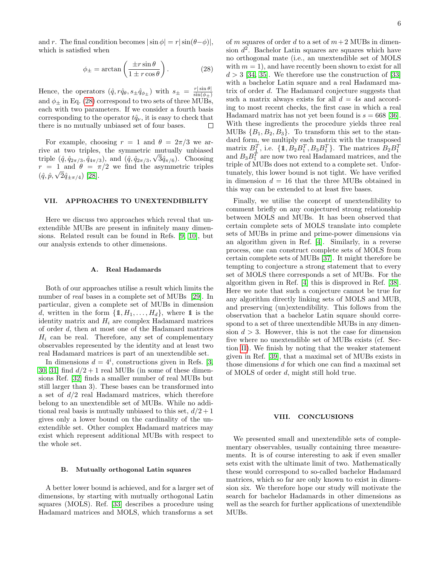and r. The final condition becomes  $|\sin \phi| = r |\sin(\theta - \phi)|$ , which is satisfied when

<span id="page-5-0"></span>
$$
\phi_{\pm} = \arctan\left(\frac{\pm r\sin\theta}{1 \pm r\cos\theta}\right). \tag{28}
$$

Hence, the operators  $(\hat{q}, r\hat{q}_{\theta}, s_{\pm} \hat{q}_{\phi_{\pm}})$  with  $s_{\pm} = \frac{r |\sin \theta|}{\sin(\phi_{\pm})}$  $\sin(\phi_{\pm})$ and  $\phi_+$  in Eq. [\(28\)](#page-5-0) correspond to two sets of three MUBs. each with two parameters. If we consider a fourth basis corresponding to the operator  $t\hat{q}_{\nu}$ , it is easy to check that there is no mutually unbiased set of four bases. □

For example, choosing  $r = 1$  and  $\theta = 2\pi/3$  we arrive at two triples, the symmetric mutually unbiased triple  $(\hat{q}, \hat{q}_{2\pi/3}, \hat{q}_{4\pi/3})$ , and  $(\hat{q}, \hat{q}_{2\pi/3}, \sqrt{3}\hat{q}_{\pi/6})$ . Choosing  $r = 1$  and  $\theta = \pi/2$  we find the asymmetric triples  $(\hat{q}, \hat{p}, \sqrt{2\hat{q}_{\pm \pi/4}})$  [\[28\]](#page-6-22).

#### VII. APPROACHES TO UNEXTENDIBILITY

Here we discuss two approaches which reveal that unextendible MUBs are present in infinitely many dimensions. Related result can be found in Refs. [\[9,](#page-6-3) [10\]](#page-6-4), but our analysis extends to other dimensions.

## A. Real Hadamards

Both of our approaches utilise a result which limits the number of real bases in a complete set of MUBs [\[29\]](#page-6-23). In particular, given a complete set of MUBs in dimension d, written in the form  $\{1, H_1, \ldots, H_d\}$ , where 1 is the identity matrix and  $H_i$  are complex Hadamard matrices of order d, then at most one of the Hadamard matrices  $H_i$  can be real. Therefore, any set of complementary observables represented by the identity and at least two real Hadamard matrices is part of an unextendible set.

In dimensions  $d = 4^i$ , constructions given in Refs. [\[3,](#page-6-24) [30,](#page-6-25) 31 find  $d/2 + 1$  real MUBs (in some of these dimensions Ref. [\[32\]](#page-6-27) finds a smaller number of real MUBs but still larger than 3). These bases can be transformed into a set of  $d/2$  real Hadamard matrices, which therefore belong to an unextendible set of MUBs. While no additional real basis is mutually unbiased to this set,  $d/2 + 1$ gives only a lower bound on the cardinality of the unextendible set. Other complex Hadamard matrices may exist which represent additional MUBs with respect to the whole set.

### B. Mutually orthogonal Latin squares

A better lower bound is achieved, and for a larger set of dimensions, by starting with mutually orthogonal Latin squares (MOLS). Ref. [\[33\]](#page-6-28) describes a procedure using Hadamard matrices and MOLS, which transforms a set of m squares of order d to a set of  $m+2$  MUBs in dimension  $d^2$ . Bachelor Latin squares are squares which have no orthogonal mate (i.e., an unextendible set of MOLS with  $m = 1$ , and have recently been shown to exist for all  $d > 3$  [\[34,](#page-6-29) [35\]](#page-6-30). We therefore use the construction of [\[33\]](#page-6-28) with a bachelor Latin square and a real Hadamard matrix of order d. The Hadamard conjecture suggests that such a matrix always exists for all  $d = 4s$  and according to most recent checks, the first case in which a real Hadamard matrix has not yet been found is  $s = 668$  [\[36\]](#page-6-31). With these ingredients the procedure yields three real MUBs  ${B_1, B_2, B_3}$ . To transform this set to the standard form, we multiply each matrix with the transposed matrix  $B_1^T$ , i.e.  $\{\pmb{1}, B_2 B_1^T, B_3 B_1^T\}$ . The matrices  $B_2 B_1^T$ and  $B_3B_1^T$  are now two real Hadamard matrices, and the triple of MUBs does not extend to a complete set. Unfortunately, this lower bound is not tight. We have verified in dimension  $d = 16$  that the three MUBs obtained in this way can be extended to at least five bases.

Finally, we utilise the concept of unextendibility to comment briefly on any conjectured strong relationship between MOLS and MUBs. It has been observed that certain complete sets of MOLS translate into complete sets of MUBs in prime and prime-power dimensions via an algorithm given in Ref. [\[4\]](#page-6-32). Similarly, in a reverse process, one can construct complete sets of MOLS from certain complete sets of MUBs [\[37\]](#page-6-33). It might therefore be tempting to conjecture a strong statement that to every set of MOLS there corresponds a set of MUBs. For the algorithm given in Ref. [\[4\]](#page-6-32) this is disproved in Ref. [\[38\]](#page-6-34). Here we note that such a conjecture cannot be true for any algorithm directly linking sets of MOLS and MUB, and preserving (un)extendibility. This follows from the observation that a bachelor Latin square should correspond to a set of three unextendible MUBs in any dimension  $d > 3$ . However, this is not the case for dimension five where no unextendible set of MUBs exists (cf. Section [II\)](#page-1-1). We finish by noting that the weaker statement given in Ref. [\[39\]](#page-6-35), that a maximal set of MUBs exists in those dimensions d for which one can find a maximal set of MOLS of order d, might still hold true.

### VIII. CONCLUSIONS

We presented small and unextendible sets of complementary observables, usually containing three measurements. It is of course interesting to ask if even smaller sets exist with the ultimate limit of two. Mathematically these would correspond to so-called bachelor Hadamard matrices, which so far are only known to exist in dimension six. We therefore hope our study will motivate the search for bachelor Hadamards in other dimensions as well as the search for further applications of unextendible MUBs.